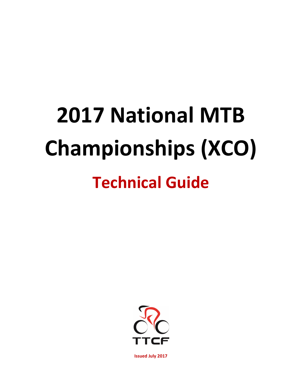# **2017 National MTB Championships (XCO) Technical Guide**

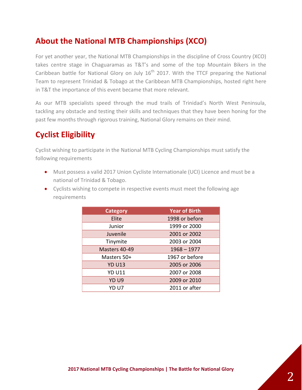## **About the National MTB Championships (XCO)**

For yet another year, the National MTB Championships in the discipline of Cross Country (XCO) takes centre stage in Chaguaramas as T&T's and some of the top Mountain Bikers in the Caribbean battle for National Glory on July  $16<sup>th</sup>$  2017. With the TTCF preparing the National Team to represent Trinidad & Tobago at the Caribbean MTB Championships, hosted right here in T&T the importance of this event became that more relevant.

As our MTB specialists speed through the mud trails of Trinidad's North West Peninsula, tackling any obstacle and testing their skills and techniques that they have been honing for the past few months through rigorous training, National Glory remains on their mind.

## **Cyclist Eligibility**

Cyclist wishing to participate in the National MTB Cycling Championships must satisfy the following requirements

- Must possess a valid 2017 Union Cycliste Internationale (UCI) Licence and must be a national of Trinidad & Tobago.
- Cyclists wishing to compete in respective events must meet the following age requirements

| <b>Category</b>  | <b>Year of Birth</b> |
|------------------|----------------------|
| Elite            | 1998 or before       |
| Junior           | 1999 or 2000         |
| Juvenile         | 2001 or 2002         |
| Tinymite         | 2003 or 2004         |
| Masters 40-49    | $1968 - 1977$        |
| Masters 50+      | 1967 or before       |
| <b>YD U13</b>    | 2005 or 2006         |
| <b>YD U11</b>    | 2007 or 2008         |
| YD <sub>U9</sub> | 2009 or 2010         |
| YD U7            | 2011 or after        |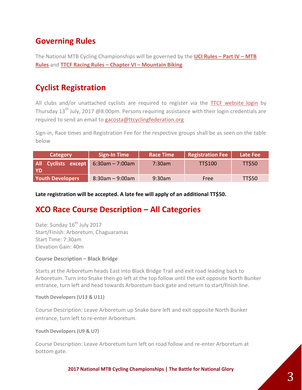## **Governing Rules**

The National MTB Cycling Championships will be governed by the **[UCI Rules](http://www.uci.ch/mm/Document/News/Rulesandregulation/17/29/73/4MTB-E-1.01.2016_English.pdf) – Part IV – MTB [Rules](http://www.uci.ch/mm/Document/News/Rulesandregulation/17/29/73/4MTB-E-1.01.2016_English.pdf)** and **[TTCF Racing Rules](http://ttcyclingfederation.org/assets/results/A%20TTCF%20Racing%20Rules%20-%20Ammended%2023%20July%202015.pdf) – Chapter VI – Mountain Biking**

## **Cyclist Registration**

All clubs and/or unattached cyclists are required to register via the [TTCF website login](http://ttcyclingfederation.org/security/log-in.html) by Thursday  $13<sup>th</sup>$  July, 2017 @8:00pm. Persons requiring assistance with their login credentials are required to send an email to [gacosta@ttcyclingfederation.org](mailto:gacosta@ttcyclingfederation.org)

Sign-in, Race times and Registration Fee for the respective groups shall be as seen on the table below

| Category                                      | <b>Sign-In Time</b> | <b>Race Time</b> | <b>Registration Fee</b> | Late Fee      |
|-----------------------------------------------|---------------------|------------------|-------------------------|---------------|
| All Cyclists except $6:30$ am – 7:00am<br>-YD |                     | $7:30$ am        | <b>TT\$100</b>          | <b>TT\$50</b> |
| <b>Youth Developers</b>                       | $8:30am - 9:00am$   | $9:30$ am        | Free                    | <b>TT\$50</b> |

#### **Late registration will be accepted. A late fee will apply of an additional TT\$50.**

### **XCO Race Course Description – All Categories**

Date: Sunday 16<sup>th</sup> July 2017 Start/Finish: Arboretum, Chaguaramas Start Time: 7:30am Elevation Gain: 40m

#### **Course Description – Black Bridge**

Starts at the Arboretum heads East into Black Bridge Trail and exit road leading back to Arboretum. Turn into Snake then go left at the top follow until the exit opposite North Bunker entrance, turn left and head towards Arboretum back gate and return to start/finish line.

#### **Youth Developers (U13 & U11)**

Course Description: Leave Arboretum up Snake bare left and exit opposite North Bunker entrance, turn left to re-enter Arboretum.

#### **Youth Developers (U9 & U7)**

Course Description: Leave Arboretum turn left on road follow and re-enter Arboretum at bottom gate.

**2017 National MTB Cycling Championships | The Battle for National Glory**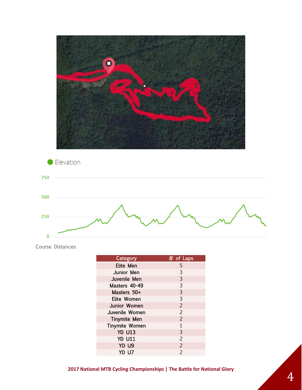



Course Distances

| <b>Category</b>       | # of Laps      |
|-----------------------|----------------|
| Elite Men             | 5              |
| Junior Men            | 3              |
| Juvenile Men          | 3              |
| Masters 40-49         | $\overline{3}$ |
| Masters 50+           | 3              |
| Elite Women           | 3              |
| Junior Women          | $\overline{2}$ |
| Juvenile Women        | $\overline{2}$ |
| <b>Tinymite Men</b>   | $\overline{2}$ |
| <b>Tinymite Women</b> | $\mathbf{1}$   |
| <b>YD U13</b>         | 3              |
| <b>YD U11</b>         | $\overline{2}$ |
| YD U9                 | $\overline{2}$ |
| YD U7                 | $\overline{2}$ |
|                       |                |

**2017 National MTB Cycling Championships | The Battle for National Glory**